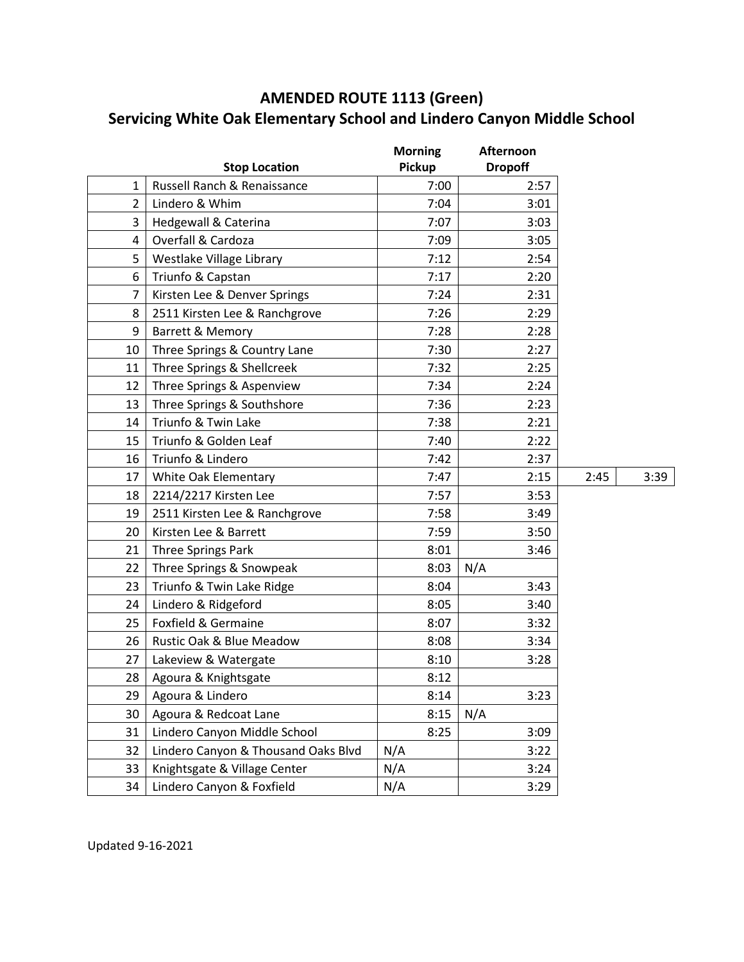## **AMENDED ROUTE 1113 (Green) Servicing White Oak Elementary School and Lindero Canyon Middle School**

|                |                                     | <b>Morning</b> | <b>Afternoon</b> |      |      |
|----------------|-------------------------------------|----------------|------------------|------|------|
|                | <b>Stop Location</b>                | <b>Pickup</b>  | <b>Dropoff</b>   |      |      |
| $\mathbf{1}$   | Russell Ranch & Renaissance         | 7:00           | 2:57             |      |      |
| $\overline{2}$ | Lindero & Whim                      | 7:04           | 3:01             |      |      |
| 3              | Hedgewall & Caterina                | 7:07           | 3:03             |      |      |
| 4              | Overfall & Cardoza                  | 7:09           | 3:05             |      |      |
| 5              | Westlake Village Library            | 7:12           | 2:54             |      |      |
| 6              | Triunfo & Capstan                   | 7:17           | 2:20             |      |      |
| 7              | Kirsten Lee & Denver Springs        | 7:24           | 2:31             |      |      |
| 8              | 2511 Kirsten Lee & Ranchgrove       | 7:26           | 2:29             |      |      |
| 9              | Barrett & Memory                    | 7:28           | 2:28             |      |      |
| 10             | Three Springs & Country Lane        | 7:30           | 2:27             |      |      |
| 11             | Three Springs & Shellcreek          | 7:32           | 2:25             |      |      |
| 12             | Three Springs & Aspenview           | 7:34           | 2:24             |      |      |
| 13             | Three Springs & Southshore          | 7:36           | 2:23             |      |      |
| 14             | Triunfo & Twin Lake                 | 7:38           | 2:21             |      |      |
| 15             | Triunfo & Golden Leaf               | 7:40           | 2:22             |      |      |
| 16             | Triunfo & Lindero                   | 7:42           | 2:37             |      |      |
| 17             | White Oak Elementary                | 7:47           | 2:15             | 2:45 | 3:39 |
| 18             | 2214/2217 Kirsten Lee               | 7:57           | 3:53             |      |      |
| 19             | 2511 Kirsten Lee & Ranchgrove       | 7:58           | 3:49             |      |      |
| 20             | Kirsten Lee & Barrett               | 7:59           | 3:50             |      |      |
| 21             | Three Springs Park                  | 8:01           | 3:46             |      |      |
| 22             | Three Springs & Snowpeak            | 8:03           | N/A              |      |      |
| 23             | Triunfo & Twin Lake Ridge           | 8:04           | 3:43             |      |      |
| 24             | Lindero & Ridgeford                 | 8:05           | 3:40             |      |      |
| 25             | Foxfield & Germaine                 | 8:07           | 3:32             |      |      |
| 26             | Rustic Oak & Blue Meadow            | 8:08           | 3:34             |      |      |
| 27             | Lakeview & Watergate                | 8:10           | 3:28             |      |      |
| 28             | Agoura & Knightsgate                | 8:12           |                  |      |      |
| 29             | Agoura & Lindero                    | 8:14           | 3:23             |      |      |
| 30             | Agoura & Redcoat Lane               | 8:15           | N/A              |      |      |
| 31             | Lindero Canyon Middle School        | 8:25           | 3:09             |      |      |
| 32             | Lindero Canyon & Thousand Oaks Blvd | N/A            | 3:22             |      |      |
| 33             | Knightsgate & Village Center        | N/A            | 3:24             |      |      |
| 34             | Lindero Canyon & Foxfield           | N/A            | 3:29             |      |      |

Updated 9-16-2021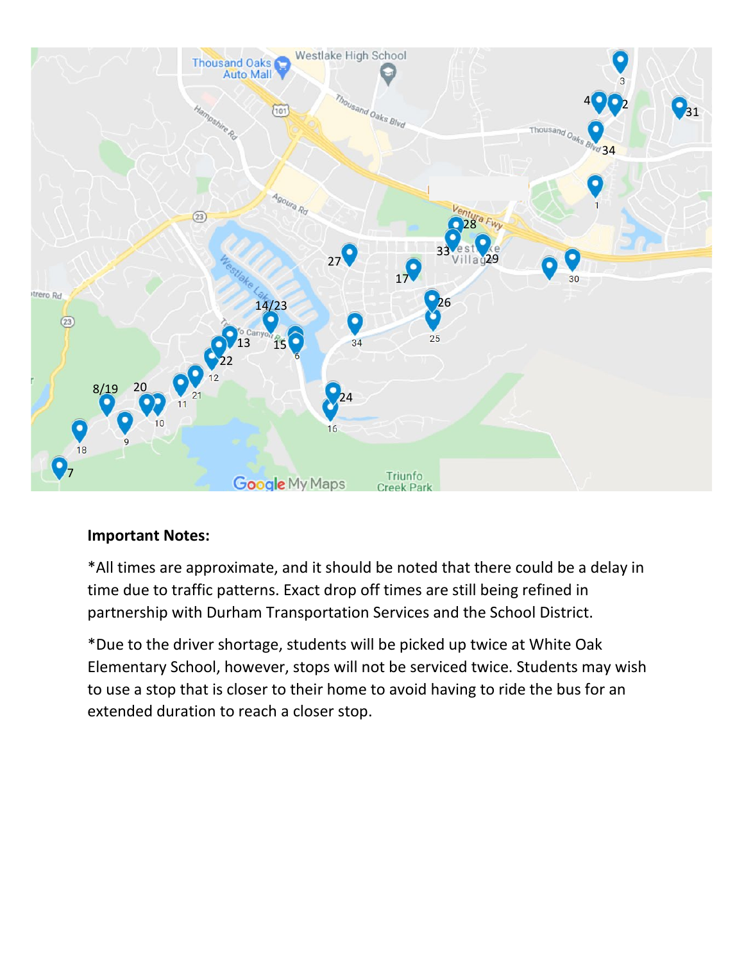

## **Important Notes:**

\*All times are approximate, and it should be noted that there could be a delay in time due to traffic patterns. Exact drop off times are still being refined in partnership with Durham Transportation Services and the School District.

\*Due to the driver shortage, students will be picked up twice at White Oak Elementary School, however, stops will not be serviced twice. Students may wish to use a stop that is closer to their home to avoid having to ride the bus for an extended duration to reach a closer stop.